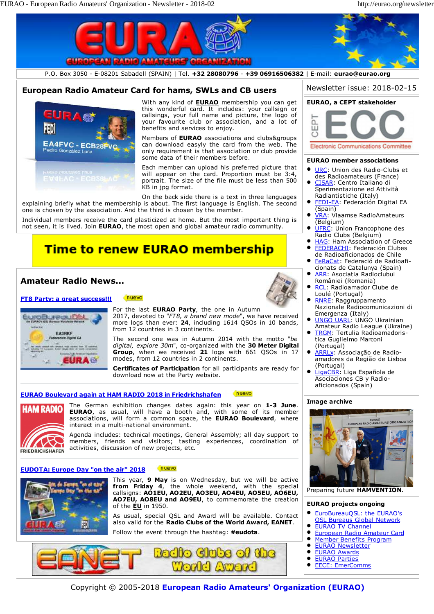

Copyright © 2005-2018 **European Radio Amateurs' Organization (EURAO)**